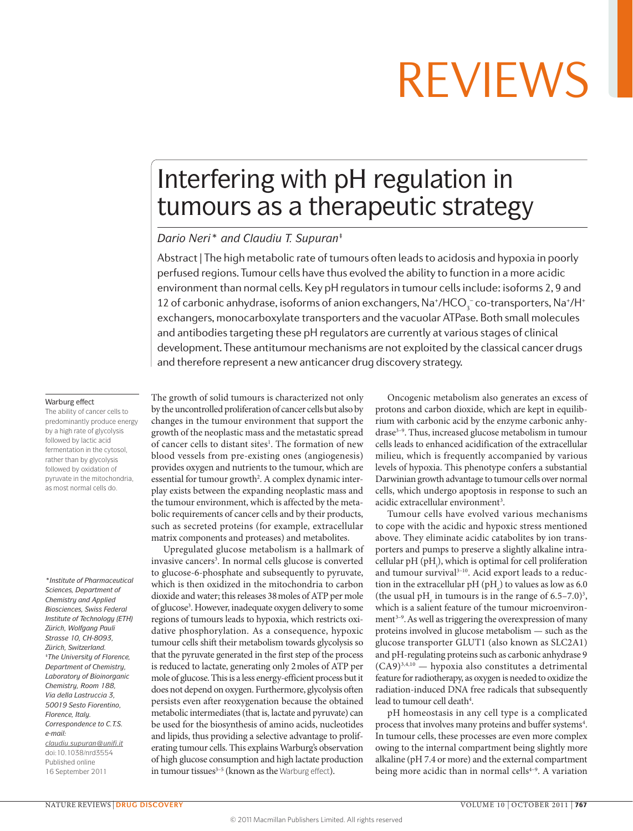## Interfering with pH regulation in tumours as a therapeutic strategy

## *Dario Neri\* and Claudiu T. Supuran‡*

Abstract | The high metabolic rate of tumours often leads to acidosis and hypoxia in poorly perfused regions. Tumour cells have thus evolved the ability to function in a more acidic environment than normal cells. Key pH regulators in tumour cells include: isoforms 2, 9 and 12 of carbonic anhydrase, isoforms of anion exchangers,  $\text{Na}^{\star}/\text{HCO}_3^-$  co-transporters,  $\text{Na}^{\star}/\text{H}^{\star}$ exchangers, monocarboxylate transporters and the vacuolar ATPase. Both small molecules and antibodies targeting these pH regulators are currently at various stages of clinical development. These antitumour mechanisms are not exploited by the classical cancer drugs and therefore represent a new anticancer drug discovery strategy.

### Warburg effect

The ability of cancer cells to predominantly produce energy by a high rate of glycolysis followed by lactic acid fermentation in the cytosol, rather than by glycolysis followed by oxidation of pyruvate in the mitochondria, as most normal cells do.

*\*Institute of Pharmaceutical Sciences, Department of Chemistry and Applied Biosciences, Swiss Federal Institute of Technology (ETH) Zürich, Wolfgang Pauli Strasse 10, CH‑8093, Zürich, Switzerland. ‡The University of Florence, Department of Chemistry, Laboratory of Bioinorganic Chemistry, Room 188, Via della Lastruccia 3, 50019 Sesto Fiorentino, Florence, Italy. Correspondence to C.T.S. e‑mail: [claudiu.supuran@unifi.it](mailto:claudiu.supuran@unifi.it)* doi:10.1038/nrd3554 Published online 16 September 2011

The growth of solid tumours is characterized not only by the uncontrolled proliferation of cancer cells but also by changes in the tumour environment that support the growth of the neoplastic mass and the metastatic spread of cancer cells to distant sites<sup>1</sup>. The formation of new blood vessels from pre-existing ones (angiogenesis) provides oxygen and nutrients to the tumour, which are essential for tumour growth<sup>2</sup>. A complex dynamic interplay exists between the expanding neoplastic mass and the tumour environment, which is affected by the metabolic requirements of cancer cells and by their products, such as secreted proteins (for example, extracellular matrix components and proteases) and metabolites.

Upregulated glucose metabolism is a hallmark of invasive cancers<sup>3</sup>. In normal cells glucose is converted to glucose-6-phosphate and subsequently to pyruvate, which is then oxidized in the mitochondria to carbon dioxide and water; this releases 38moles of ATP per mole of glucose3 . However, inadequate oxygen delivery to some regions of tumours leads to hypoxia, which restricts oxidative phosphorylation. As a consequence, hypoxic tumour cells shift their metabolism towards glycolysis so that the pyruvate generated in the first step of the process is reduced to lactate, generating only 2moles of ATP per mole of glucose. This is a less energy-efficient process but it does not depend on oxygen. Furthermore, glycolysis often persists even after reoxygenation because the obtained metabolic intermediates (that is, lactate and pyruvate) can be used for the biosynthesis of amino acids, nucleotides and lipids, thus providing a selective advantage to proliferating tumour cells. This explains Warburg's observation of high glucose consumption and high lactate production in tumour tissues<sup>3-5</sup> (known as the Warburg effect).

Oncogenic metabolism also generates an excess of protons and carbon dioxide, which are kept in equilibrium with carbonic acid by the enzyme carbonic anhydrase<sup>3-9</sup>. Thus, increased glucose metabolism in tumour cells leads to enhanced acidification of the extracellular milieu, which is frequently accompanied by various levels of hypoxia. This phenotype confers a substantial Darwinian growth advantage to tumour cells over normal cells, which undergo apoptosis in response to such an acidic extracellular environment<sup>3</sup>.

Tumour cells have evolved various mechanisms to cope with the acidic and hypoxic stress mentioned above. They eliminate acidic catabolites by ion transporters and pumps to preserve a slightly alkaline intracellular  $pH(pH_i)$ , which is optimal for cell proliferation and tumour survival<sup>3-10</sup>. Acid export leads to a reduction in the extracellular pH (pH<sub>e</sub>) to values as low as 6.0 (the usual  $pH_e$  in tumours is in the range of 6.5–7.0)<sup>3</sup>, which is a salient feature of the tumour microenvironment<sup>3-9</sup>. As well as triggering the overexpression of many proteins involved in glucose metabolism — such as the glucose transporter GLUT1 (also known as SLC2A1) and pH-regulating proteins such as carbonic anhydrase 9 (CA9)3,4,10 — hypoxia also constitutes a detrimental feature for radiotherapy, as oxygen is needed to oxidize the radiation-induced DNA free radicals that subsequently lead to tumour cell death<sup>4</sup>.

pH homeostasis in any cell type is a complicated process that involves many proteins and buffer systems<sup>4</sup>. In tumour cells, these processes are even more complex owing to the internal compartment being slightly more alkaline (pH 7.4 or more) and the external compartment being more acidic than in normal cells<sup>4-9</sup>. A variation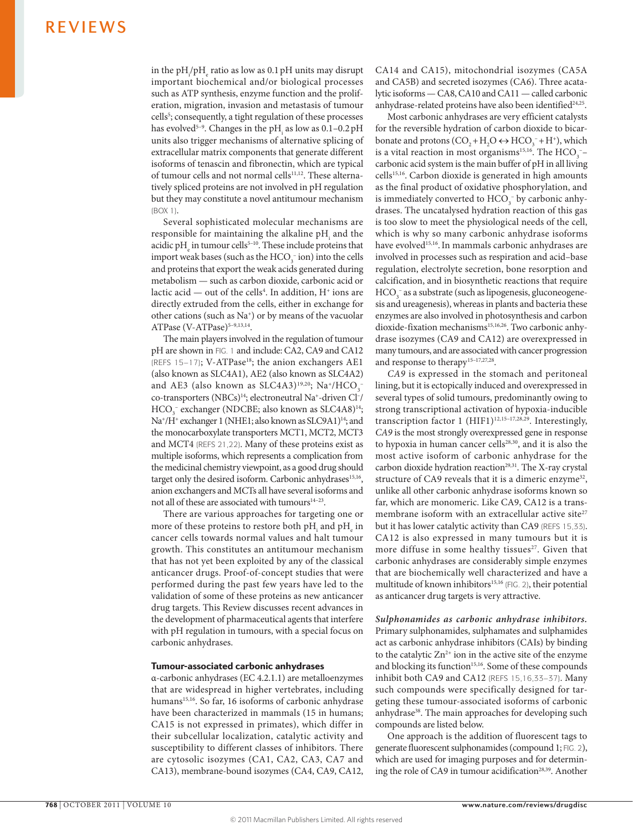in the  $pH_{i}/pH_{e}$  ratio as low as 0.1 pH units may disrupt important biochemical and/or biological processes such as ATP synthesis, enzyme function and the proliferation, migration, invasion and metastasis of tumour cells<sup>5</sup>; consequently, a tight regulation of these processes has evolved<sup>5-9</sup>. Changes in the pH<sub>i</sub> as low as  $0.1-0.2$  pH units also trigger mechanisms of alternative splicing of extracellular matrix components that generate different isoforms of tenascin and fibronectin, which are typical of tumour cells and not normal cells<sup>11,12</sup>. These alternatively spliced proteins are not involved in pH regulation but they may constitute a novel antitumour mechanism (BOX 1).

Several sophisticated molecular mechanisms are responsible for maintaining the alkaline  $pH_i$  and the acidic pH<sub>e</sub> in tumour cells<sup>5–10</sup>. These include proteins that import weak bases (such as the  $HCO_3^-$  ion) into the cells and proteins that export the weak acids generated during metabolism — such as carbon dioxide, carbonic acid or lactic acid — out of the cells<sup>4</sup>. In addition, H<sup>+</sup> ions are directly extruded from the cells, either in exchange for other cations (such as Na<sup>+</sup>) or by means of the vacuolar ATPase (V-ATPase)<sup>5-9,13,14</sup>.

The main players involved in the regulation of tumour pH are shown in FIG. 1 and include: CA2, CA9 and CA12 (REFS 15-17); V-ATPase<sup>18</sup>; the anion exchangers AE1 (also known as SLC4A1), AE2 (also known as SLC4A2) and AE3 (also known as SLC4A3)<sup>19,20</sup>; Na<sup>+</sup>/HCO<sub>3</sub><sup>-</sup> co-transporters (NBCs)14; electroneutral Na+ -driven Cl– / HCO<sub>3</sub><sup>-</sup> exchanger (NDCBE; also known as SLC4A8)<sup>14</sup>; Na<sup>+</sup>/H<sup>+</sup> exchanger 1 (NHE1; also known as SLC9A1)<sup>14</sup>; and the monocarboxylate transporters MCT1, MCT2, MCT3 and MCT4 (REFS 21,22). Many of these proteins exist as multiple isoforms, which represents a complication from the medicinal chemistry viewpoint, as a good drug should target only the desired isoform. Carbonic anhydrases<sup>15,16</sup>, anion exchangers and MCTs all have several isoforms and not all of these are associated with tumours<sup>14-23</sup>.

There are various approaches for targeting one or more of these proteins to restore both pH<sub>i</sub> and pH<sub>e</sub> in cancer cells towards normal values and halt tumour growth. This constitutes an antitumour mechanism that has not yet been exploited by any of the classical anticancer drugs. Proof-of-concept studies that were performed during the past few years have led to the validation of some of these proteins as new anticancer drug targets. This Review discusses recent advances in the development of pharmaceutical agents that interfere with pH regulation in tumours, with a special focus on carbonic anhydrases.

## Tumour-associated carbonic anhydrases

α-carbonic anhydrases (EC 4.2.1.1) are metalloenzymes that are widespread in higher vertebrates, including humans<sup>15,16</sup>. So far, 16 isoforms of carbonic anhydrase have been characterized in mammals (15 in humans; CA15 is not expressed in primates), which differ in their subcellular localization, catalytic activity and susceptibility to different classes of inhibitors. There are cytosolic isozymes (CA1, CA2, CA3, CA7 and CA13), membrane-bound isozymes (CA4, CA9, CA12, CA14 and CA15), mitochondrial isozymes (CA5A and CA5B) and secreted isozymes (CA6). Three acatalytic isoforms — CA8, CA10 and CA11 — called carbonic anhydrase-related proteins have also been identified<sup>24,25</sup>.

Most carbonic anhydrases are very efficient catalysts for the reversible hydration of carbon dioxide to bicarbonate and protons  $(CO_2 + H_2O \leftrightarrow HCO_3^- + H^+)$ , which is a vital reaction in most organisms<sup>15,16</sup>. The  $HCO_3$ <sup>-</sup>carbonic acid system is the main buffer of pH in all living cells<sup>15,16</sup>. Carbon dioxide is generated in high amounts as the final product of oxidative phosphorylation, and is immediately converted to  $HCO_3^-$  by carbonic anhydrases. The uncatalysed hydration reaction of this gas is too slow to meet the physiological needs of the cell, which is why so many carbonic anhydrase isoforms have evolved<sup>15,16</sup>. In mammals carbonic anhydrases are involved in processes such as respiration and acid–base regulation, electrolyte secretion, bone resorption and calcification, and in biosynthetic reactions that require  $\mathrm{HCO}_{3}^-$  as a substrate (such as lipogenesis, gluconeogenesis and ureagenesis), whereas in plants and bacteria these enzymes are also involved in photosynthesis and carbon dioxide-fixation mechanisms<sup>15,16,26</sup>. Two carbonic anhydrase isozymes (CA9 and CA12) are overexpressed in many tumours, and are associated with cancer progression and response to therapy<sup>15-17,27,28</sup>.

*CA9* is expressed in the stomach and peritoneal lining, but it is ectopically induced and overexpressed in several types of solid tumours, predominantly owing to strong transcriptional activation of hypoxia-inducible transcription factor 1 (HIF1)<sup>12,15-17,28,29</sup>. Interestingly, *CA9* is the most strongly overexpressed gene in response to hypoxia in human cancer cells<sup>28,30</sup>, and it is also the most active isoform of carbonic anhydrase for the carbon dioxide hydration reaction<sup>29,31</sup>. The X-ray crystal structure of CA9 reveals that it is a dimeric enzyme<sup>32</sup>, unlike all other carbonic anhydrase isoforms known so far, which are monomeric. Like CA9, CA12 is a transmembrane isoform with an extracellular active site<sup>27</sup> but it has lower catalytic activity than CA9 (REFS 15,33). CA12 is also expressed in many tumours but it is more diffuse in some healthy tissues<sup>27</sup>. Given that carbonic anhydrases are considerably simple enzymes that are biochemically well characterized and have a multitude of known inhibitors<sup>15,16</sup> (FIG. 2), their potential as anticancer drug targets is very attractive.

*Sulphonamides as carbonic anhydrase inhibitors.* Primary sulphonamides, sulphamates and sulphamides act as carbonic anhydrase inhibitors (CAIs) by binding to the catalytic  $Zn^{2+}$  ion in the active site of the enzyme and blocking its function<sup>15,16</sup>. Some of these compounds inhibit both CA9 and CA12 (REFS 15,16,33–37). Many such compounds were specifically designed for targeting these tumour-associated isoforms of carbonic anhydrase<sup>38</sup>. The main approaches for developing such compounds are listed below.

One approach is the addition of fluorescent tags to generate fluorescent sulphonamides (compound 1; FIG. 2), which are used for imaging purposes and for determining the role of CA9 in tumour acidification<sup>28,39</sup>. Another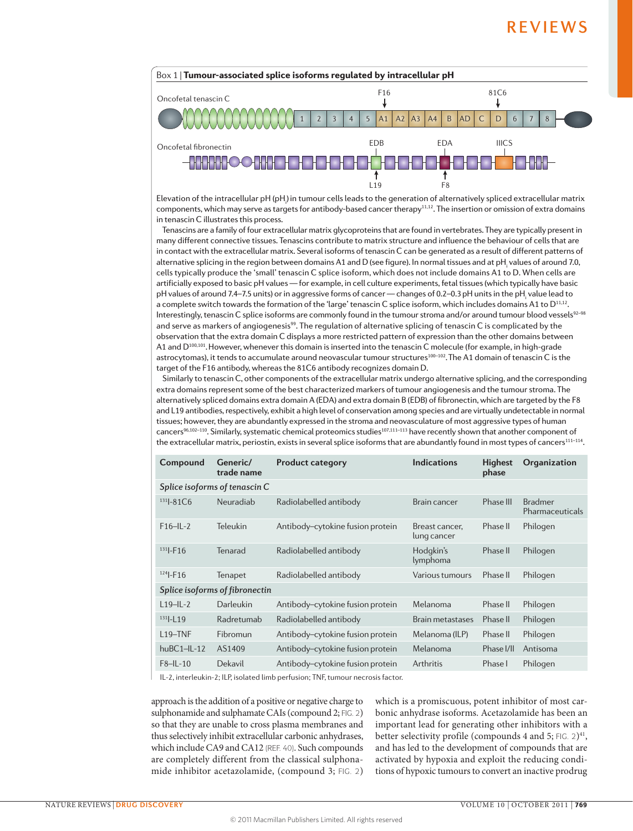

components, which may serve as targets for antibody-based cancer therapy<sup>11,12</sup>. The insertion or omission of extra domains Elevation of the intracellular pH (pH<sub>i</sub>) in tumour cells leads to the generation of alternatively spliced extracellular matrix in tenascin C illustrates this process.

Tenascins are a family of four extracellular matrix glycoproteins that are found in vertebrates. They are typically present in many different connective tissues. Tenascins contribute to matrix structure and influence the behaviour of cells that are in contact with the extracellular matrix. Several isoforms of tenascin C can be generated as a result of different patterns of alternative splicing in the region between domains A1 and D (see figure). In normal tissues and at pH<sub>i</sub> values of around 7.0, cells typically produce the 'small' tenascin C splice isoform, which does not include domains A1 to D. When cells are artificially exposed to basic pH values — for example, in cell culture experiments, fetal tissues (which typically have basic pH values of around 7.4–7.5 units) or in aggressive forms of cancer — changes of 0.2–0.3 pH units in the pH<sub>i</sub> value lead to a complete switch towards the formation of the 'large' tenascin C splice isoform, which includes domains A1 to D<sup>11,12</sup>. Interestingly, tenascin C splice isoforms are commonly found in the tumour stroma and/or around tumour blood vessels<sup>92-98</sup> and serve as markers of angiogenesis<sup>99</sup>. The regulation of alternative splicing of tenascin C is complicated by the observation that the extra domain C displays a more restricted pattern of expression than the other domains between A1 and D<sup>100,101</sup>. However, whenever this domain is inserted into the tenascin C molecule (for example, in high-grade astrocytomas), it tends to accumulate around neovascular tumour structures<sup>100-102</sup>. The A1 domain of tenascin C is the target of the F16 antibody, whereas the 81C6 antibody recognizes domain D.

Similarly to tenascin C, other components of the extracellular matrix undergo alternative splicing, and the corresponding extra domains represent some of the best characterized markers of tumour angiogenesis and the tumour stroma. The alternatively spliced domains extra domain A (EDA) and extra domain B (EDB) of fibronectin, which are targeted by the F8 and L19 antibodies, respectively, exhibit a high level of conservation among species and are virtually undetectable in normal tissues; however, they are abundantly expressed in the stroma and neovasculature of most aggressive types of human cancers<sup>96,102–110</sup>. Similarly, systematic chemical proteomics studies<sup>107,111–113</sup> have recently shown that another component of the extracellular matrix, periostin, exists in several splice isoforms that are abundantly found in most types of cancers<sup>111-114</sup>.

| Compound                       | Generic/<br>trade name | <b>Product category</b>          | <b>Indications</b>            | <b>Highest</b><br>phase | Organization                      |  |  |  |
|--------------------------------|------------------------|----------------------------------|-------------------------------|-------------------------|-----------------------------------|--|--|--|
| Splice isoforms of tenascin C  |                        |                                  |                               |                         |                                   |  |  |  |
| $131 - 81C6$                   | Neuradiab              | Radiolabelled antibody           | Brain cancer                  | Phase III               | <b>Bradmer</b><br>Pharmaceuticals |  |  |  |
| $F16 - 11 - 2$                 | Teleukin               | Antibody-cytokine fusion protein | Breast cancer.<br>lung cancer | Phase II                | Philogen                          |  |  |  |
| $131$ -F <sub>16</sub>         | Tenarad                | Radiolabelled antibody           | Hodgkin's<br>lymphoma         | Phase II                | Philogen                          |  |  |  |
| $124$ -F16                     | Tenapet                | Radiolabelled antibody           | Various tumours               | Phase II                | Philogen                          |  |  |  |
| Splice isoforms of fibronectin |                        |                                  |                               |                         |                                   |  |  |  |
| $L19 - L-2$                    | Darleukin              | Antibody-cytokine fusion protein | Melanoma                      | Phase II                | Philogen                          |  |  |  |
| $131$ -19                      | Radretumab             | Radiolabelled antibody           | Brain metastases              | Phase II                | Philogen                          |  |  |  |
| $L19 - TNF$                    | Fibromun               | Antibody-cytokine fusion protein | Melanoma (ILP)                | Phase II                | Philogen                          |  |  |  |
| $huBC1 - 1 - 12$               | AS1409                 | Antibody-cytokine fusion protein | Melanoma                      | Phase I/II              | Antisoma                          |  |  |  |
| $F8 - H - 10$                  | Dekavil                | Antibody-cytokine fusion protein | <b>Arthritis</b>              | Phase I                 | Philogen                          |  |  |  |

IL-2, interleukin-2; ILP, isolated limb perfusion; TNF, tumour necrosis factor.

approach is the addition of a positive or negative charge to sulphonamide and sulphamate CAIs (compound 2; FIG. 2) so that they are unable to cross plasma membranes and thus selectively inhibit extracellular carbonic anhydrases, which include CA9 and CA12 (REF. 40). Such compounds are completely different from the classical sulphonamide inhibitor acetazolamide, (compound 3; FIG. 2) which is a promiscuous, potent inhibitor of most carbonic anhydrase isoforms. Acetazolamide has been an important lead for generating other inhibitors with a better selectivity profile (compounds 4 and 5;  $F1G. 2)^{41}$ , and has led to the development of compounds that are activated by hypoxia and exploit the reducing conditions of hypoxic tumours to convert an inactive prodrug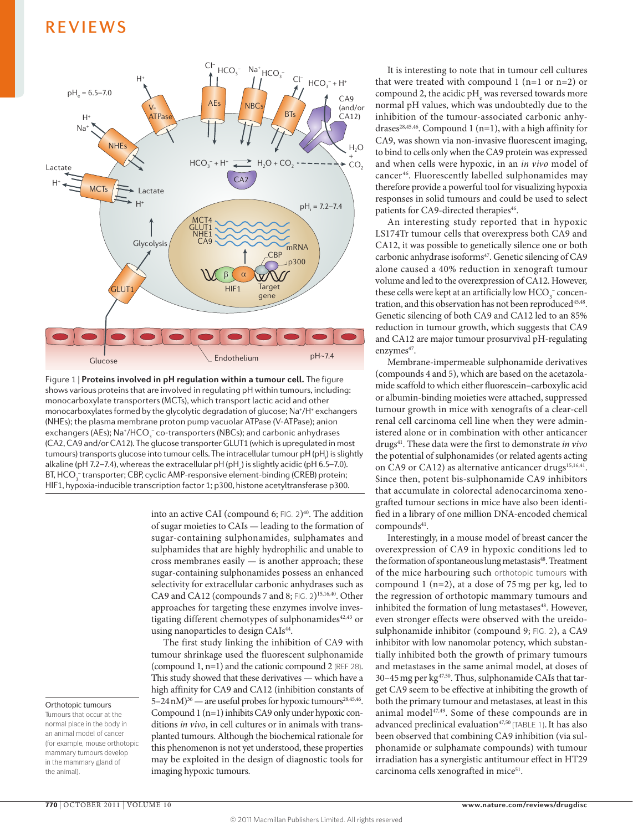

monocarboxylate transporters (MCTs), which transport lactic acid and other *&KUEQXGT[* Figure 1 | **Proteins involved in pH regulation within a tumour cell.** The figure shows various proteins that are involved in regulating pH within tumours, including: monocarboxylates formed by the glycolytic degradation of glucose; Na<sup>+</sup>/H<sup>+</sup> exchangers (NHEs); the plasma membrane proton pump vacuolar ATPase (V-ATPase); anion exchangers (AEs); Na\*/HCO $_{\tiny 3}^-$  co-transporters (NBCs); and carbonic anhydrases (CA2, CA9 and/or CA12). The glucose transporter GLUT1 (which is upregulated in most tumours) transports glucose into tumour cells. The intracellular tumour pH (pH<sub>)</sub>) is slightly alkaline (pH 7.2–7.4), whereas the extracellular pH (pH<sub>e</sub>) is slightly acidic (pH 6.5–7.0). BT, HCO<sub>3</sub> transporter; CBP, cyclic AMP-responsive element-binding (CREB) protein; HIF1, hypoxia-inducible transcription factor 1; p300, histone acetyltransferase p300.

into an active CAI (compound 6;  $FIG. 2)^{40}$ . The addition of sugar moieties to CAIs — leading to the formation of sugar-containing sulphonamides, sulphamates and sulphamides that are highly hydrophilic and unable to cross membranes easily — is another approach; these sugar-containing sulphonamides possess an enhanced selectivity for extracellular carbonic anhydrases such as CA9 and CA12 (compounds 7 and 8; FIG. 2)<sup>15,16,40</sup>. Other approaches for targeting these enzymes involve investigating different chemotypes of sulphonamides $42,43$  or using nanoparticles to design CAIs<sup>44</sup>.

The first study linking the inhibition of CA9 with tumour shrinkage used the fluorescent sulphonamide (compound 1, n=1) and the cationic compound 2 (REF 28). This study showed that these derivatives — which have a high affinity for CA9 and CA12 (inhibition constants of 5-24 nM)<sup>36</sup> — are useful probes for hypoxic tumours<sup>28,45,46</sup>. Compound 1 (n=1) inhibits CA9 only under hypoxic conditions *in vivo*, in cell cultures or in animals with transplanted tumours. Although the biochemical rationale for this phenomenon is not yet understood, these properties may be exploited in the design of diagnostic tools for imaging hypoxic tumours.

It is interesting to note that in tumour cell cultures that were treated with compound 1 (n=1 or n=2) or compound 2, the acidic  $pH_e$  was reversed towards more normal pH values, which was undoubtedly due to the inhibition of the tumour-associated carbonic anhydrases<sup>28,45,46</sup>. Compound 1 (n=1), with a high affinity for CA9, was shown via non-invasive fluorescent imaging, to bind to cells only when the CA9 protein was expressed and when cells were hypoxic, in an *in vivo* model of cancer 46. Fluorescently labelled sulphonamides may therefore provide a powerful tool for visualizing hypoxia responses in solid tumours and could be used to select patients for CA9-directed therapies<sup>46</sup>.

An interesting study reported that in hypoxic LS174Tr tumour cells that overexpress both CA9 and CA12, it was possible to genetically silence one or both carbonic anhydrase isoforms<sup>47</sup>. Genetic silencing of CA9 alone caused a 40% reduction in xenograft tumour volume and led to the overexpression of CA12. However, these cells were kept at an artificially low  $HCO_3^-$  concentration, and this observation has not been reproduced<sup>45,48</sup>. Genetic silencing of both CA9 and CA12 led to an 85% reduction in tumour growth, which suggests that CA9 and CA12 are major tumour prosurvival pH-regulating enzymes<sup>47</sup>.

Membrane-impermeable sulphonamide derivatives (compounds 4 and 5), which are based on the acetazolamide scaffold to which either fluorescein–carboxylic acid or albumin-binding moieties were attached, suppressed tumour growth in mice with xenografts of a clear-cell renal cell carcinoma cell line when they were administered alone or in combination with other anticancer drugs41. These data were the first to demonstrate *in vivo* the potential of sulphonamides (or related agents acting on CA9 or CA12) as alternative anticancer drugs<sup>15,16,41</sup>. Since then, potent bis-sulphonamide CA9 inhibitors that accumulate in colorectal adenocarcinoma xenografted tumour sections in mice have also been identified in a library of one million DNA-encoded chemical compounds<sup>41</sup>.

Interestingly, in a mouse model of breast cancer the overexpression of CA9 in hypoxic conditions led to the formation of spontaneous lung metastasis<sup>48</sup>. Treatment of the mice harbouring such orthotopic tumours with compound 1 (n=2), at a dose of 75 mg per kg, led to the regression of orthotopic mammary tumours and inhibited the formation of lung metastases<sup>48</sup>. However, even stronger effects were observed with the ureidosulphonamide inhibitor (compound 9; FIG. 2), a CA9 inhibitor with low nanomolar potency, which substantially inhibited both the growth of primary tumours and metastases in the same animal model, at doses of 30-45 mg per kg<sup>47,50</sup>. Thus, sulphonamide CAIs that target CA9 seem to be effective at inhibiting the growth of both the primary tumour and metastases, at least in this animal model<sup>47,49</sup>. Some of these compounds are in advanced preclinical evaluation<sup>47,50</sup> (TABLE 1). It has also been observed that combining CA9 inhibition (via sulphonamide or sulphamate compounds) with tumour irradiation has a synergistic antitumour effect in HT29 carcinoma cells xenografted in mice<sup>51</sup>.

Orthotopic tumours Tumours that occur at the normal place in the body in an animal model of cancer (for example, mouse orthotopic mammary tumours develop in the mammary gland of

the animal).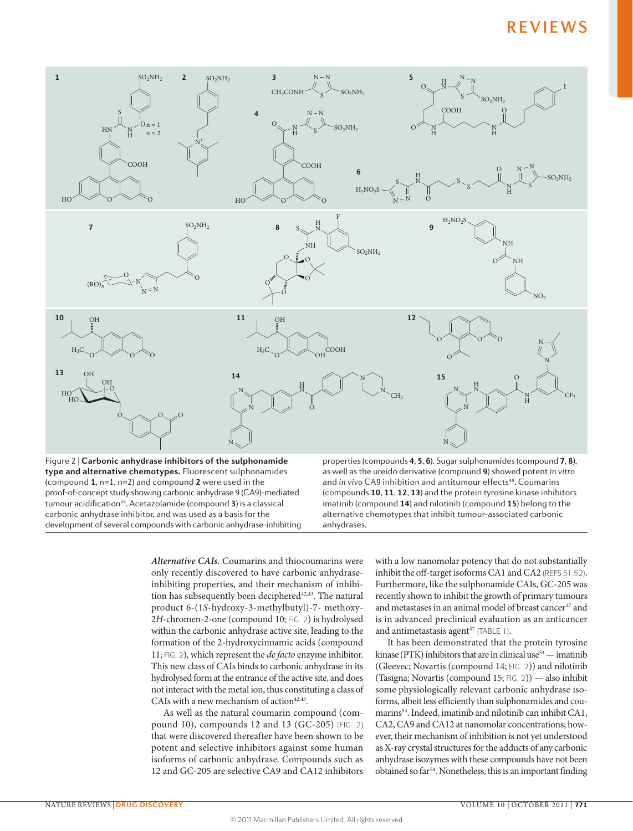

*Alternative CAIs.* Coumarins and thiocoumarins were only recently discovered to have carbonic anhydraseinhibiting properties, and their mechanism of inhibition has subsequently been deciphered<sup>42,43</sup>. The natural product 6-(1*S*-hydroxy-3-methylbutyl)-7- methoxy-2*H*-chromen-2-one (compound 10; FIG. 2) is hydrolysed within the carbonic anhydrase active site, leading to the formation of the 2-hydroxycinnamic acids (compound 11; FIG. 2), which represent the *de facto* enzyme inhibitor. This new class of CAIs binds to carbonic anhydrase in its hydrolysed form at the entrance of the active site, and does not interact with the metal ion, thus constituting a class of CAIs with a new mechanism of action $42,43$ .

As well as the natural coumarin compound (compound 10), compounds 12 and 13 (GC-205) (FIG. 2) that were discovered thereafter have been shown to be potent and selective inhibitors against some human isoforms of carbonic anhydrase. Compounds such as 12 and GC-205 are selective CA9 and CA12 inhibitors

with a low nanomolar potency that do not substantially inhibit the off-target isoforms CA1 and CA2 (REFS 51,52). Furthermore, like the sulphonamide CAIs, GC-205 was recently shown to inhibit the growth of primary tumours and metastases in an animal model of breast cancer<sup>47</sup> and is in advanced preclinical evaluation as an anticancer and antimetastasis agent $47$  (TABLE 1).

It has been demonstrated that the protein tyrosine kinase (PTK) inhibitors that are in clinical use  $53$  — imatinib (Gleevec; Novartis (compound 14; FIG. 2)) and nilotinib (Tasigna; Novartis (compound 15; FIG. 2)) — also inhibit some physiologically relevant carbonic anhydrase isoforms, albeit less efficiently than sulphonamides and coumarins<sup>54</sup>. Indeed, imatinib and nilotinib can inhibit CA1, CA2, CA9 and CA12 at nanomolar concentrations; however, their mechanism of inhibition is not yet understood as X-ray crystal structures for the adducts of any carbonic anhydrase isozymes with these compounds have not been obtained so far<sup>54</sup>. Nonetheless, this is an important finding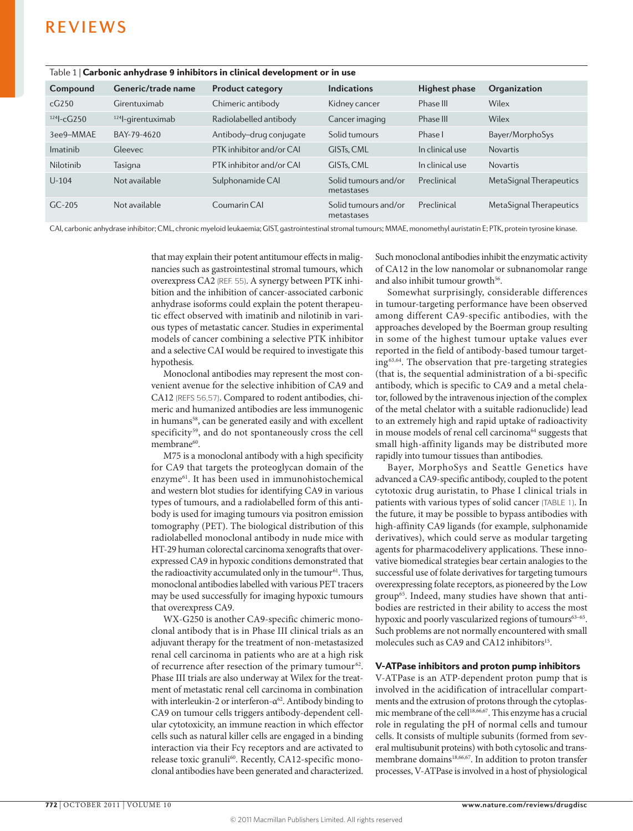| $1800^\circ$ $\sim$ 1 $\sim$ 60 001116 annivulate $\sigma$ in motion 3 in cumcat development of in use |                     |                          |                                    |                      |                         |  |  |  |
|--------------------------------------------------------------------------------------------------------|---------------------|--------------------------|------------------------------------|----------------------|-------------------------|--|--|--|
| Compound                                                                                               | Generic/trade name  | <b>Product category</b>  | <b>Indications</b>                 | <b>Highest phase</b> | Organization            |  |  |  |
| cG250                                                                                                  | Girentuximab        | Chimeric antibody        | Kidney cancer                      | Phase III            | Wilex                   |  |  |  |
| $124$ -cG250                                                                                           | $124$ -girentuximab | Radiolabelled antibody   | Cancer imaging                     | Phase III            | Wilex                   |  |  |  |
| 3ee9-MMAE                                                                                              | BAY-79-4620         | Antibody-drug conjugate  | Solid tumours                      | Phase I              | Bayer/MorphoSys         |  |  |  |
| Imatinib                                                                                               | Gleevec             | PTK inhibitor and/or CAI | GIST <sub>s</sub> . CML            | In clinical use      | <b>Novartis</b>         |  |  |  |
| Nilotinib                                                                                              | Tasigna             | PTK inhibitor and/or CAL | GIST <sub>s</sub> . CML            | In clinical use      | <b>Novartis</b>         |  |  |  |
| $U - 104$                                                                                              | Not available       | Sulphonamide CAI         | Solid tumours and/or<br>metastases | Preclinical          | MetaSignal Therapeutics |  |  |  |
| $GC-205$                                                                                               | Not available       | Coumarin CAI             | Solid tumours and/or<br>metastases | Preclinical          | MetaSignal Therapeutics |  |  |  |
|                                                                                                        |                     |                          |                                    |                      |                         |  |  |  |

Table 1 | Carbonic anhydrase 9 inhibitors in clinical development or in use

CAI, carbonic anhydrase inhibitor; CML, chronic myeloid leukaemia; GIST, gastrointestinal stromal tumours; MMAE, monomethyl auristatin E; PTK, protein tyrosine kinase.

that may explain their potent antitumour effects in malignancies such as gastrointestinal stromal tumours, which overexpress CA2 (REF. 55). A synergy between PTK inhibition and the inhibition of cancer-associated carbonic anhydrase isoforms could explain the potent therapeutic effect observed with imatinib and nilotinib in various types of metastatic cancer. Studies in experimental models of cancer combining a selective PTK inhibitor and a selective CAI would be required to investigate this hypothesis.

Monoclonal antibodies may represent the most convenient avenue for the selective inhibition of CA9 and CA12 (REFS 56,57). Compared to rodent antibodies, chimeric and humanized antibodies are less immunogenic in humans<sup>58</sup>, can be generated easily and with excellent specificity<sup>59</sup>, and do not spontaneously cross the cell membrane<sup>60</sup>.

M75 is a monoclonal antibody with a high specificity for CA9 that targets the proteoglycan domain of the enzyme61. It has been used in immunohistochemical and western blot studies for identifying CA9 in various types of tumours, and a radiolabelled form of this antibody is used for imaging tumours via positron emission tomography (PET). The biological distribution of this radiolabelled monoclonal antibody in nude mice with HT-29 human colorectal carcinoma xenografts that overexpressed CA9 in hypoxic conditions demonstrated that the radioactivity accumulated only in the tumour<sup>61</sup>. Thus, monoclonal antibodies labelled with various PET tracers may be used successfully for imaging hypoxic tumours that overexpress CA9.

WX-G250 is another CA9-specific chimeric monoclonal antibody that is in Phase III clinical trials as an adjuvant therapy for the treatment of non-metastasized renal cell carcinoma in patients who are at a high risk of recurrence after resection of the primary tumour<sup>62</sup>. Phase III trials are also underway at Wilex for the treatment of metastatic renal cell carcinoma in combination with interleukin-2 or interferon- $\alpha^{62}$ . Antibody binding to CA9 on tumour cells triggers antibody-dependent cellular cytotoxicity, an immune reaction in which effector cells such as natural killer cells are engaged in a binding interaction via their Fcγ receptors and are activated to release toxic granuli<sup>60</sup>. Recently, CA12-specific monoclonal antibodies have been generated and characterized.

Such monoclonal antibodies inhibit the enzymatic activity of CA12 in the low nanomolar or subnanomolar range and also inhibit tumour growth<sup>56</sup>.

Somewhat surprisingly, considerable differences in tumour-targeting performance have been observed among different CA9-specific antibodies, with the approaches developed by the Boerman group resulting in some of the highest tumour uptake values ever reported in the field of antibody-based tumour targeting63,64. The observation that pre-targeting strategies (that is, the sequential administration of a bi-specific antibody, which is specific to CA9 and a metal chelator, followed by the intravenous injection of the complex of the metal chelator with a suitable radionuclide) lead to an extremely high and rapid uptake of radioactivity in mouse models of renal cell carcinoma<sup>64</sup> suggests that small high-affinity ligands may be distributed more rapidly into tumour tissues than antibodies.

Bayer, MorphoSys and Seattle Genetics have advanced a CA9-specific antibody, coupled to the potent cytotoxic drug auristatin, to Phase I clinical trials in patients with various types of solid cancer (TABLE 1). In the future, it may be possible to bypass antibodies with high-affinity CA9 ligands (for example, sulphonamide derivatives), which could serve as modular targeting agents for pharmacodelivery applications. These innovative biomedical strategies bear certain analogies to the successful use of folate derivatives for targeting tumours overexpressing folate receptors, as pioneered by the Low group<sup>65</sup>. Indeed, many studies have shown that antibodies are restricted in their ability to access the most hypoxic and poorly vascularized regions of tumours<sup>63-65</sup>. Such problems are not normally encountered with small molecules such as CA9 and CA12 inhibitors<sup>15</sup>.

### V-ATPase inhibitors and proton pump inhibitors

V-ATPase is an ATP-dependent proton pump that is involved in the acidification of intracellular compartments and the extrusion of protons through the cytoplasmic membrane of the cell<sup>18,66,67</sup>. This enzyme has a crucial role in regulating the pH of normal cells and tumour cells. It consists of multiple subunits (formed from several multisubunit proteins) with both cytosolic and transmembrane domains<sup>18,66,67</sup>. In addition to proton transfer processes, V-ATPase is involved in a host of physiological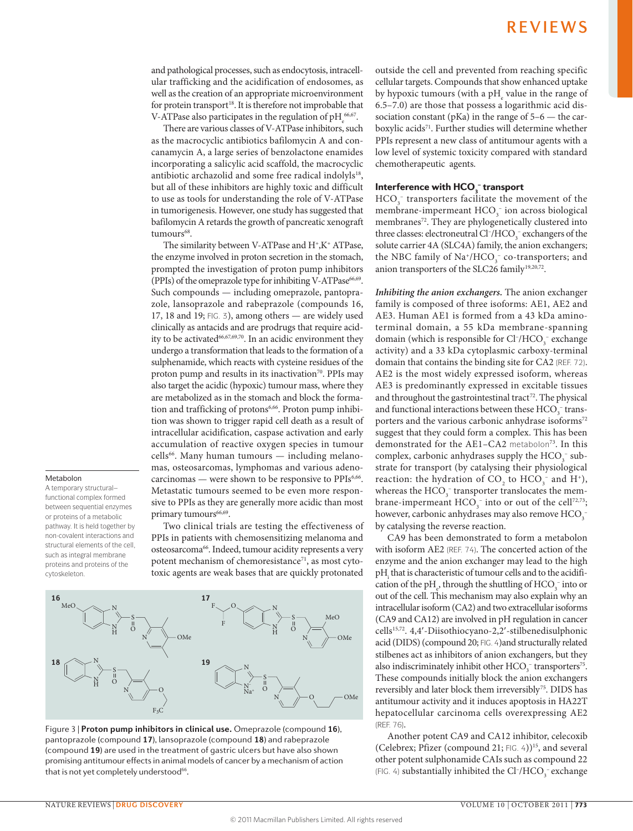and pathological processes, such as endocytosis, intracellular trafficking and the acidification of endosomes, as well as the creation of an appropriate microenvironment for protein transport<sup>18</sup>. It is therefore not improbable that V-ATPase also participates in the regulation of  $pH<sub>e</sub><sup>66,67</sup>$ .

There are various classes of V-ATPase inhibitors, such as the macrocyclic antibiotics bafilomycin A and concanamycin A, a large series of benzolactone enamides incorporating a salicylic acid scaffold, the macrocyclic antibiotic archazolid and some free radical indolyls<sup>18</sup>, but all of these inhibitors are highly toxic and difficult to use as tools for understanding the role of V-ATPase in tumorigenesis. However, one study has suggested that bafilomycin A retards the growth of pancreatic xenograft tumours<sup>68</sup>.

The similarity between V-ATPase and  $H^{\ast}$ , $K^{\ast}$  ATPase, the enzyme involved in proton secretion in the stomach, prompted the investigation of proton pump inhibitors (PPIs) of the omeprazole type for inhibiting V-ATPase<sup>66,69</sup>. Such compounds — including omeprazole, pantoprazole, lansoprazole and rabeprazole (compounds 16, 17, 18 and 19; FIG. 3), among others — are widely used clinically as antacids and are prodrugs that require acidity to be activated<sup>66,67,69,70</sup>. In an acidic environment they undergo a transformation that leads to the formation of a sulphenamide, which reacts with cysteine residues of the proton pump and results in its inactivation<sup>70</sup>. PPIs may also target the acidic (hypoxic) tumour mass, where they are metabolized as in the stomach and block the formation and trafficking of protons<sup>6,66</sup>. Proton pump inhibition was shown to trigger rapid cell death as a result of intracellular acidification, caspase activation and early accumulation of reactive oxygen species in tumour  $cells<sup>66</sup>$ . Many human tumours  $-$  including melanomas, osteosarcomas, lymphomas and various adenocarcinomas — were shown to be responsive to PPIs<sup>6,66</sup>. Metastatic tumours seemed to be even more responsive to PPIs as they are generally more acidic than most primary tumours<sup>66,69</sup>.

Two clinical trials are testing the effectiveness of PPIs in patients with chemosensitizing melanoma and osteosarcoma<sup>66</sup>. Indeed, tumour acidity represents a very potent mechanism of chemoresistance<sup>71</sup>, as most cytotoxic agents are weak bases that are quickly protonated



promising antitumour effects in animal models of cancer by a mechanism of action Figure 3 | **Proton pump inhibitors in clinical use.** Omeprazole (compound **16**), pantoprazole (compound **17**), lansoprazole (compound **18**) and rabeprazole (compound **19**) are used in the treatment of gastric ulcers but have also shown that is not yet completely understood<sup>66</sup>.

outside the cell and prevented from reaching specific cellular targets. Compounds that show enhanced uptake by hypoxic tumours (with a  $pH_e$  value in the range of 6.5–7.0) are those that possess a logarithmic acid dissociation constant ( $pKa$ ) in the range of  $5-6$  — the carboxylic acids<sup>71</sup>. Further studies will determine whether PPIs represent a new class of antitumour agents with a low level of systemic toxicity compared with standard chemotherapeutic agents.

## Interference with  $HCO_{3}^-$  transport

 $HCO<sub>3</sub>$ <sup>-</sup> transporters facilitate the movement of the membrane-impermeant  $HCO<sub>3</sub><sup>-</sup>$  ion across biological membranes<sup>72</sup>. They are phylogenetically clustered into three classes: electroneutral  $Cl^-/HCO_3^-$  exchangers of the solute carrier 4A (SLC4A) family, the anion exchangers; the NBC family of  $\text{Na}^+/\text{HCO}_3^-$  co-transporters; and anion transporters of the SLC26 family<sup>19,20,72</sup>.

*Inhibiting the anion exchangers.* The anion exchanger family is composed of three isoforms: AE1, AE2 and AE3. Human AE1 is formed from a 43 kDa aminoterminal domain, a 55 kDa membrane-spanning domain (which is responsible for  $Cl<sub>1</sub>/HCO<sub>3</sub><sup>-</sup>$  exchange activity) and a 33 kDa cytoplasmic carboxy-terminal domain that contains the binding site for CA2 (REF. 72). AE2 is the most widely expressed isoform, whereas AE3 is predominantly expressed in excitable tissues and throughout the gastrointestinal tract<sup>72</sup>. The physical and functional interactions between these  $HCO_3^-$  transporters and the various carbonic anhydrase isoforms<sup>72</sup> suggest that they could form a complex. This has been demonstrated for the AE1-CA2 metabolon<sup>73</sup>. In this complex, carbonic anhydrases supply the  $HCO_3^-$  substrate for transport (by catalysing their physiological reaction: the hydration of  $CO_2$  to  $HCO_3^-$  and  $H^*$ ), whereas the  $HCO_3^-$  transporter translocates the membrane-impermeant  $HCO_3^-$  into or out of the cell<sup>72,73</sup>; however, carbonic anhydrases may also remove  $\mathrm{HCO}_3^$ by catalysing the reverse reaction.

CA9 has been demonstrated to form a metabolon with isoform AE2 (REF. 74). The concerted action of the enzyme and the anion exchanger may lead to the high  $pH_i$  that is characteristic of tumour cells and to the acidification of the pH<sub>e</sub>, through the shuttling of HCO<sub>3</sub><sup>-</sup> into or out of the cell. This mechanism may also explain why an intracellular isoform (CA2) and two extracellular isoforms (CA9 and CA12) are involved in pH regulation in cancer cells15,72. 4,4′-Diisothiocyano-2,2′-stilbenedisulphonic acid (DIDS) (compound 20; FIG. 4)and structurally related stilbenes act as inhibitors of anion exchangers, but they also indiscriminately inhibit other  $HCO_3^-$  transporters<sup>75</sup>. These compounds initially block the anion exchangers reversibly and later block them irreversibly<sup>75</sup>. DIDS has antitumour activity and it induces apoptosis in HA22T hepatocellular carcinoma cells overexpressing AE2 (REF. 76).

Another potent CA9 and CA12 inhibitor, celecoxib (Celebrex; Pfizer (compound 21; FIG. 4))15, and several other potent sulphonamide CAIs such as compound 22  $\left(\text{FIG. 4}\right)$  substantially inhibited the Cl-/HCO $_3^-$  exchange

Metabolon A temporary structural– functional complex formed between sequential enzymes or proteins of a metabolic pathway. It is held together by non-covalent interactions and structural elements of the cell, such as integral membrane proteins and proteins of the

cytoskeleton.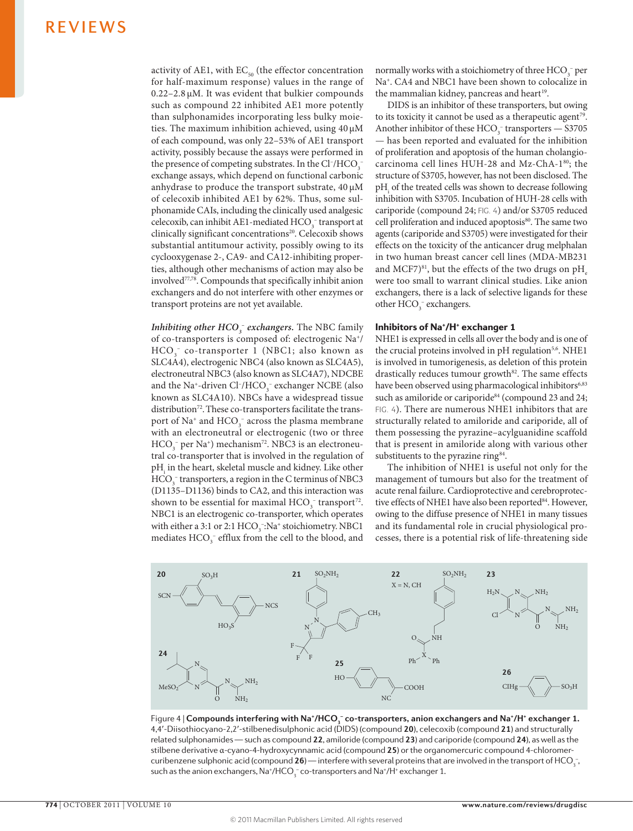activity of AE1, with  $EC_{50}$  (the effector concentration for half-maximum response) values in the range of 0.22–2.8 μM. It was evident that bulkier compounds such as compound 22 inhibited AE1 more potently than sulphonamides incorporating less bulky moieties. The maximum inhibition achieved, using 40 μM of each compound, was only 22–53% of AE1 transport activity, possibly because the assays were performed in the presence of competing substrates. In the  $Cl^-/HCO_3^$ exchange assays, which depend on functional carbonic anhydrase to produce the transport substrate, 40 μM of celecoxib inhibited AE1 by 62%. Thus, some sulphonamide CAIs, including the clinically used analgesic  $\text{celecoxib}$ , can inhibit AE1-mediated HCO<sub>3</sub> transport at clinically significant concentrations<sup>20</sup>. Celecoxib shows substantial antitumour activity, possibly owing to its cyclooxygenase 2-, CA9- and CA12-inhibiting properties, although other mechanisms of action may also be involved77,78. Compounds that specifically inhibit anion exchangers and do not interfere with other enzymes or transport proteins are not yet available.

*Inhibiting other*  $HCO_3^-$  *exchangers.* The NBC family of co-transporters is composed of: electrogenic Na+/ HCO<sub>3</sub> co-transporter 1 (NBC1; also known as SLC4A4), electrogenic NBC4 (also known as SLC4A5), electroneutral NBC3 (also known as SLC4A7), NDCBE and the Na<sup>+</sup>-driven Cl<sup>-</sup>/HCO<sub>3</sub><sup>-</sup> exchanger NCBE (also known as SLC4A10). NBCs have a widespread tissue distribution<sup>72</sup>. These co-transporters facilitate the transport of  $\text{Na}^+$  and  $\text{HCO}_3^-$  across the plasma membrane with an electroneutral or electrogenic (two or three  $HCO_3^-$  per Na<sup>+</sup>) mechanism<sup>72</sup>. NBC3 is an electroneutral co-transporter that is involved in the regulation of  $\rm pH_{i}$  in the heart, skeletal muscle and kidney. Like other  $HCO<sub>3</sub>$ <sup>-</sup> transporters, a region in the C terminus of NBC3 (D1135–D1136) binds to CA2, and this interaction was shown to be essential for maximal  $HCO_3^-$  transport<sup>72</sup>. NBC1 is an electrogenic co-transporter, which operates with either a 3:1 or 2:1  $\text{HCO}_3$ : Na<sup>+</sup> stoichiometry. NBC1 mediates  $\text{HCO}_3^-$  efflux from the cell to the blood, and

normally works with a stoichiometry of three  $HCO<sub>3</sub><sup>-</sup>$  per Na+. CA4 and NBC1 have been shown to colocalize in the mammalian kidney, pancreas and heart<sup>19</sup>.

DIDS is an inhibitor of these transporters, but owing to its toxicity it cannot be used as a therapeutic agent<sup>79</sup>. Another inhibitor of these  $HCO_3^-$  transporters  $-$  S3705 — has been reported and evaluated for the inhibition of proliferation and apoptosis of the human cholangiocarcinoma cell lines HUH-28 and Mz-ChA-180; the structure of S3705, however, has not been disclosed. The pH<sub>i</sub> of the treated cells was shown to decrease following inhibition with S3705. Incubation of HUH-28 cells with cariporide (compound 24; FIG. 4) and/or S3705 reduced cell proliferation and induced apoptosis<sup>80</sup>. The same two agents (cariporide and S3705) were investigated for their effects on the toxicity of the anticancer drug melphalan in two human breast cancer cell lines (MDA-MB231 and MCF7 $)^{81}$ , but the effects of the two drugs on pH were too small to warrant clinical studies. Like anion exchangers, there is a lack of selective ligands for these other  $HCO<sub>3</sub>$ <sup>-</sup> exchangers.

## Inhibitors of Na<sup>+</sup>/H<sup>+</sup> exchanger 1

NHE1 is expressed in cells all over the body and is one of the crucial proteins involved in pH regulation<sup>5,6</sup>. NHE1 is involved in tumorigenesis, as deletion of this protein drastically reduces tumour growth<sup>82</sup>. The same effects have been observed using pharmacological inhibitors<sup>6,83</sup> such as amiloride or cariporide<sup>84</sup> (compound 23 and 24; FIG. 4). There are numerous NHE1 inhibitors that are structurally related to amiloride and cariporide, all of them possessing the pyrazine–acylguanidine scaffold that is present in amiloride along with various other substituents to the pyrazine ring<sup>84</sup>.

The inhibition of NHE1 is useful not only for the management of tumours but also for the treatment of acute renal failure. Cardioprotective and cerebroprotective effects of NHE1 have also been reported<sup>84</sup>. However, owing to the diffuse presence of NHE1 in many tissues and its fundamental role in crucial physiological processes, there is a potential risk of life-threatening side



**stilbene derivative α-cyano-4-hydroxycynnamic acid (compound <b>25**) or the organomercuric compound 4-chloromer-Figure 4 | **Compounds interfering with Na\*/HCO<sub>3</sub> <sup>-</sup> co-transporters, anion exchangers and Na\*/H\* exchanger 1.** 4,4′-Diisothiocyano-2,2′-stilbenedisulphonic acid (DIDS) (compound **20**), celecoxib (compound **21**) and structurally related sulphonamides — such as compound **22**, amiloride (compound **23**) and cariporide (compound **24**), as well as the curibenzene sulphonic acid (compound **26**) — interfere with several proteins that are involved in the transport of HCO<sub>3</sub>-, such as the anion exchangers,  $\textsf{Na^+/HCO}_{3}^-$  co-transporters and  $\textsf{Na^+/H^+}$  exchanger 1.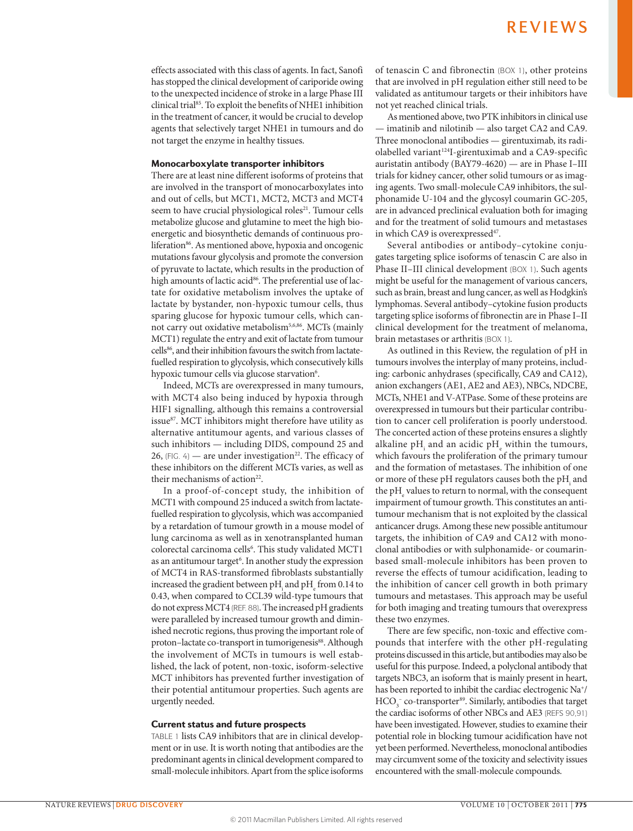effects associated with this class of agents. In fact, Sanofi has stopped the clinical development of cariporide owing to the unexpected incidence of stroke in a large Phase III clinical trial85. To exploit the benefits of NHE1 inhibition in the treatment of cancer, it would be crucial to develop agents that selectively target NHE1 in tumours and do not target the enzyme in healthy tissues.

## Monocarboxylate transporter inhibitors

There are at least nine different isoforms of proteins that are involved in the transport of monocarboxylates into and out of cells, but MCT1, MCT2, MCT3 and MCT4 seem to have crucial physiological roles<sup>21</sup>. Tumour cells metabolize glucose and glutamine to meet the high bioenergetic and biosynthetic demands of continuous proliferation<sup>86</sup>. As mentioned above, hypoxia and oncogenic mutations favour glycolysis and promote the conversion of pyruvate to lactate, which results in the production of high amounts of lactic acid<sup>86</sup>. The preferential use of lactate for oxidative metabolism involves the uptake of lactate by bystander, non-hypoxic tumour cells, thus sparing glucose for hypoxic tumour cells, which cannot carry out oxidative metabolism<sup>5,6,86</sup>. MCTs (mainly MCT1) regulate the entry and exit of lactate from tumour cells<sup>86</sup>, and their inhibition favours the switch from lactatefuelled respiration to glycolysis, which consecutively kills hypoxic tumour cells via glucose starvation<sup>6</sup>.

Indeed, MCTs are overexpressed in many tumours, with MCT4 also being induced by hypoxia through HIF1 signalling, although this remains a controversial issue<sup>87</sup>. MCT inhibitors might therefore have utility as alternative antitumour agents, and various classes of such inhibitors — including DIDS, compound 25 and 26,  $[FIG. 4]$  — are under investigation<sup>22</sup>. The efficacy of these inhibitors on the different MCTs varies, as well as their mechanisms of action<sup>22</sup>.

In a proof-of-concept study, the inhibition of MCT1 with compound 25 induced a switch from lactatefuelled respiration to glycolysis, which was accompanied by a retardation of tumour growth in a mouse model of lung carcinoma as well as in xenotransplanted human colorectal carcinoma cells6 . This study validated MCT1 as an antitumour target<sup>6</sup>. In another study the expression of MCT4 in RAS-transformed fibroblasts substantially increased the gradient between pH and pH  $_{\textrm{\tiny{e}}}$  from 0.14 to 0.43, when compared to CCL39 wild-type tumours that do not express MCT4 (REF. 88). The increased pH gradients were paralleled by increased tumour growth and diminished necrotic regions, thus proving the important role of proton-lactate co-transport in tumorigenesis<sup>88</sup>. Although the involvement of MCTs in tumours is well established, the lack of potent, non-toxic, isoform-selective MCT inhibitors has prevented further investigation of their potential antitumour properties. Such agents are urgently needed.

## Current status and future prospects

TABLE 1 lists CA9 inhibitors that are in clinical development or in use. It is worth noting that antibodies are the predominant agents in clinical development compared to small-molecule inhibitors. Apart from the splice isoforms of tenascin C and fibronectin (BOX 1), other proteins that are involved in pH regulation either still need to be validated as antitumour targets or their inhibitors have not yet reached clinical trials.

As mentioned above, two PTK inhibitors in clinical use — imatinib and nilotinib — also target CA2 and CA9. Three monoclonal antibodies — girentuximab, its radiolabelled variant<sup>124</sup>I-girentuximab and a CA9-specific auristatin antibody (BAY79-4620) — are in Phase I–III trials for kidney cancer, other solid tumours or as imaging agents. Two small-molecule CA9 inhibitors, the sulphonamide U-104 and the glycosyl coumarin GC-205, are in advanced preclinical evaluation both for imaging and for the treatment of solid tumours and metastases in which CA9 is overexpressed<sup>47</sup>.

Several antibodies or antibody–cytokine conjugates targeting splice isoforms of tenascin C are also in Phase II–III clinical development (BOX 1). Such agents might be useful for the management of various cancers, such as brain, breast and lung cancer, as well as Hodgkin's lymphomas. Several antibody–cytokine fusion products targeting splice isoforms of fibronectin are in Phase I–II clinical development for the treatment of melanoma, brain metastases or arthritis (BOX 1).

As outlined in this Review, the regulation of pH in tumours involves the interplay of many proteins, including: carbonic anhydrases (specifically, CA9 and CA12), anion exchangers (AE1, AE2 and AE3), NBCs, NDCBE, MCTs, NHE1 and V-ATPase. Some of these proteins are overexpressed in tumours but their particular contribution to cancer cell proliferation is poorly understood. The concerted action of these proteins ensures a slightly alkaline  $\rm pH_{i}$  and an acidic  $\rm pH_{e}$  within the tumours, which favours the proliferation of the primary tumour and the formation of metastases. The inhibition of one or more of these pH regulators causes both the  $\rm pH_{i}$  and the  $\rm pH_{e}$  values to return to normal, with the consequent impairment of tumour growth. This constitutes an antitumour mechanism that is not exploited by the classical anticancer drugs. Among these new possible antitumour targets, the inhibition of CA9 and CA12 with monoclonal antibodies or with sulphonamide- or coumarinbased small-molecule inhibitors has been proven to reverse the effects of tumour acidification, leading to the inhibition of cancer cell growth in both primary tumours and metastases. This approach may be useful for both imaging and treating tumours that overexpress these two enzymes.

There are few specific, non-toxic and effective compounds that interfere with the other pH-regulating proteins discussed in this article, but antibodies may also be useful for this purpose. Indeed, a polyclonal antibody that targets NBC3, an isoform that is mainly present in heart, has been reported to inhibit the cardiac electrogenic Na<sup>+</sup>/  $HCO<sub>3</sub>$ <sup>-</sup> co-transporter<sup>89</sup>. Similarly, antibodies that target the cardiac isoforms of other NBCs and AE3 (REFS 90,91) have been investigated. However, studies to examine their potential role in blocking tumour acidification have not yet been performed. Nevertheless, monoclonal antibodies may circumvent some of the toxicity and selectivity issues encountered with the small-molecule compounds.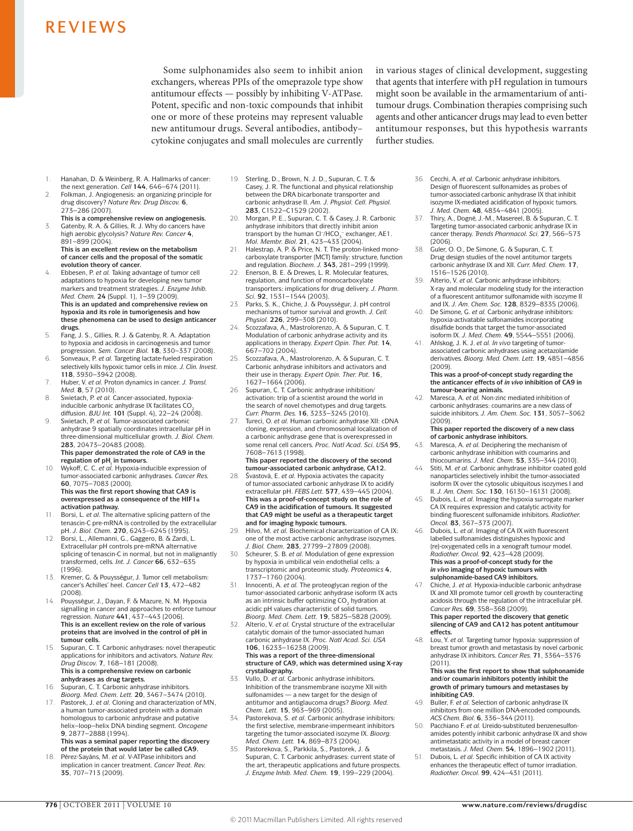Some sulphonamides also seem to inhibit anion exchangers, whereas PPIs of the omeprazole type show antitumour effects — possibly by inhibiting V-ATPase. Potent, specific and non-toxic compounds that inhibit one or more of these proteins may represent valuable new antitumour drugs. Several antibodies, antibody– cytokine conjugates and small molecules are currently in various stages of clinical development, suggesting that agents that interfere with pH regulation in tumours might soon be available in the armamentarium of antitumour drugs. Combination therapies comprising such agents and other anticancer drugs may lead to even better antitumour responses, but this hypothesis warrants further studies.

- 1. Hanahan, D. & Weinberg, R. A. Hallmarks of cancer: the next generation. *Cell* **144**, 646–674 (2011).
- 2. Folkman, J. Angiogenesis: an organizing principle for drug discovery? *Nature Rev. Drug Discov.* **6**, 273–286 (2007).
- **This is a comprehensive review on angiogenesis.**
- 3. Gatenby, R. A. & Gillies, R. J. Why do cancers have high aerobic glycolysis? *Nature Rev. Cancer* **4**, 891–899 (2004). **This is an excellent review on the metabolism**

**of cancer cells and the proposal of the somatic evolution theory of cancer.** 4. Ebbesen, P. *et al.* Taking advantage of tumor cell

- adaptations to hypoxia for developing new tumor markers and treatment strategies. *J. Enzyme Inhib. Med. Chem.* **24** (Suppl. 1), 1–39 (2009). **This is an updated and comprehensive review on hypoxia and its role in tumorigenesis and how these phenomena can be used to design anticancer drugs.**
- 5. Fang, J. S., Gillies, R. J. & Gatenby, R. A. Adaptation to hypoxia and acidosis in carcinogenesis and tumor progression. *Sem. Cancer Biol.* **18**, 330–337 (2008).
- 6. Sonveaux, P. *et al.* Targeting lactate-fueled respiration selectively kills hypoxic tumor cells in mice*. J. Clin. Invest.* **118**, 3930–3942 (2008).
- 7. Huber, V. *et al.* Proton dynamics in cancer. *J. Transl. Med.* **8**, 57 (2010).
- 8. Swietach, P. *et al.* Cancer-associated, hypoxiainducible carbonic anhydrase IX facilitates CO<sub>2</sub><br>diffusion. *BJU Int*. **101** (Suppl. 4), 22–24 (2008).
- Swietach, P. *et al.* Tumor-associated carbonic anhydrase 9 spatially coordinates intracellular pH in three-dimensional multicellular growth. *J. Biol. Chem.* **283**, 20473–20483 (2008). **This paper demonstrated the role of CA9 in the**

regulation of pH<sub>i</sub> in tumours.

- 10. Wykoff, C. C. *et al.* Hypoxia-inducible expression of tumor-associated carbonic anhydrases. *Cancer Res.* **60**, 7075–7083 (2000). **This was the first report showing that CA9 is overexpressed as a consequence of the HIF1α activation pathway.**
- Borsi, L. *et al.* The alternative splicing pattern of the tenascin-C pre-mRNA is controlled by the extracellular pH. *J. Biol. Chem.* **270**, 6243–6245 (1995).
- 12. Borsi, L., Allemanni, G., Gaggero, B. & Zardi, L. Extracellular pH controls pre-mRNA alternative splicing of tenascin-C in normal, but not in malignantly transformed, cells. *Int. J. Cancer* **66**, 632–635 (1996).
- 13. Kremer, G. & Pouysségur, J. Tumor cell metabolism: cancer's Achilles' heel. *Cancer Cell* **13**, 472–482 (2008).
- 14. Pouysségur, J., Dayan, F. & Mazure, N. M. Hypoxia signalling in cancer and approaches to enforce tumour regression. *Nature* **441**, 437–443 (2006). **This is an excellent review on the role of various proteins that are involved in the control of pH in tumour cells.**
- Supuran, C. T. Carbonic anhydrases: novel therapeutic applications for inhibitors and activators. *Nature Rev. Drug Discov.* **7**, 168–181 (2008). **This is a comprehensive review on carbonic anhydrases as drug targets.**
- 16. Supuran, C. T. Carbonic anhydrase inhibitors. *Bioorg. Med. Chem. Lett.* **20**, 3467–3474 (2010).
- 17. Pastorek, J. *et al.* Cloning and characterization of MN, a human tumor-associated protein with a domain homologous to carbonic anhydrase and putative helix–loop–helix DNA binding segment. *Oncogene* **9**, 2877–2888 (1994). **This was a seminal paper reporting the discovery**

**of the protein that would later be called CA9.** 18. Pérez-Sayáns, M. *et al.* V-ATPase inhibitors and

implication in cancer treatment. *Cancer Treat. Rev.* **35**, 707–713 (2009).

- 19. Sterling, D., Brown, N. J. D., Supuran, C. T. & Casey, J. R. The functional and physical relationship between the DRA bicarbonate transporter and carbonic anhydrase II. *Am. J. Physiol. Cell. Physiol.* **283**, C1522–C1529 (2002).
- 20. Morgan, P. E., Supuran, C. T. & Casey, J. R. Carbonic anhydrase inhibitors that directly inhibit anion transport by the human Cl-/HCO<sub>3</sub><sup>-</sup> exchanger, AE1. *Mol. Membr. Biol.* **21**, 423–433 (2004).
- 21. Halestrap, A. P. & Price, N. T. The proton-linked monocarboxylate transporter (MCT) family: structure, function and regulation. *Biochem. J.* **343**, 281–299 (1999).
- 22. Enerson, B. E. & Drewes, L. R. Molecular features, regulation, and function of monocarboxylate transporters: implications for drug delivery. *J. Pharm. Sci.* **92**, 1531–1544 (2003).
- 23. Parks, S. K., Chiche, J. & Pouysségur, J. pH control mechanisms of tumor survival and growth. *J. Cell. Physiol.* **226**, 299–308 (2010).
- 24. Scozzafava, A., Mastrolorenzo, A. & Supuran, C. T. Modulation of carbonic anhydrase activity and its applications in therapy. *Expert Opin. Ther. Pat.* **14**, 667–702 (2004).
- 25. Scozzafava, A., Mastrolorenzo, A. & Supuran, C. T. Carbonic anhydrase inhibitors and activators and their use in therapy. *Expert Opin. Ther. Pat.* **16**, 1627–1664 (2006).
- 26. Supuran, C. T. Carbonic anhydrase inhibition/ activation: trip of a scientist around the world in the search of novel chemotypes and drug targets. *Curr. Pharm. Des.* **16**, 3233–3245 (2010).
- 27. Tureci, O. *et al.* Human carbonic anhydrase XII: cDNA cloning, expression, and chromosomal localization of a carbonic anhydrase gene that is overexpressed in some renal cell cancers. *Proc. Natl Acad. Sci. USA* **95**, 7608–7613 (1998). **This paper reported the discovery of the second**
- **tumour-associated carbonic anhydrase, CA12.** 28. Švastová, E. *et al.* Hypoxia activates the capacity of tumor-associated carbonic anhydrase IX to acidify extracellular pH. *FEBS Lett.* **577**, 439–445 (2004). **This was a proof-of-concept study on the role of CA9 in the acidification of tumours. It suggested that CA9 might be useful as a therapeutic target and for imaging hypoxic tumours.**
- 29. Hilvo, M. *et al.* Biochemical characterization of CA IX: one of the most active carbonic anhydrase isozymes. *J. Biol. Chem.* **283**, 27799–27809 (2008).
- 30. Scheurer, S. B. *et al.* Modulation of gene expression by hypoxia in umbilical vein endothelial cells: a transcriptomic and proteomic study. *Proteomics* **4**, 1737–1760 (2004).
- 31. Innocenti, A. *et al.* The proteoglycan region of the tumor-associated carbonic anhydrase isoform IX acts as an intrinsic buffer optimizing  $CO<sub>2</sub>$  hydration at acidic pH values characteristic of solid tumors.
- *Bioorg. Med. Chem. Lett.* **19**, 5825–5828 (2009). 32. Alterio, V. *et al.* Crystal structure of the extracellular catalytic domain of the tumor-associated human carbonic anhydrase IX. *Proc. Natl Acad. Sci. USA* **106**, 16233–16238 (2009). **This was a report of the three-dimensional structure of CA9, which was determined using X-ray crystallography.**
- 33. Vullo, D. *et al.* Carbonic anhydrase inhibitors. Inhibition of the transmembrane isozyme XII with sulfonamides — a new target for the design of antitumor and antiglaucoma drugs? *Bioorg. Med. Chem. Lett.* **15**, 963–969 (2005).
- 34. Pastorekova, S. *et al.* Carbonic anhydrase inhibitors: the first selective, membrane-impermeant inhibitors targeting the tumor-associated isozyme IX. *Bioorg. Med. Chem. Lett.* **14**, 869–873 (2004).
- 35. Pastorekova, S., Parkkila, S., Pastorek, J. & Supuran, C. T. Carbonic anhydrases: current state of the art, therapeutic applications and future prospects. *J. Enzyme Inhib. Med. Chem.* **19**, 199–229 (2004).
- 36. Cecchi, A. *et al.* Carbonic anhydrase inhibitors. Design of fluorescent sulfonamides as probes of tumor-associated carbonic anhydrase IX that inhibit isozyme IX-mediated acidification of hypoxic tumors. *J. Med. Chem.* **48**, 4834–4841 (2005).
- Thiry, A., Dogné, J.-M., Masereel, B. & Supuran, C. T. Targeting tumor-associated carbonic anhydrase IX in cancer therapy. *Trends Pharmacol. Sci.* **27**, 566–573 (2006).
- Guler, O. O., De Simone, G. & Supuran, C. T. Drug design studies of the novel antitumor targets carbonic anhydrase IX and XII. *Curr. Med. Chem.* **17**, 1516–1526 (2010).
- 39. Alterio, V. *et al.* Carbonic anhydrase inhibitors: X-ray and molecular modeling study for the interaction of a fluorescent antitumor sulfonamide with isozyme II and IX. *J. Am. Chem. Soc.* **128**, 8329–8335 (2006).
- 40. De Simone, G. *et al.* Carbonic anhydrase inhibitors: hypoxia-activatable sulfonamides incorporating disulfide bonds that target the tumor-associated isoform IX. *J. Med. Chem.* **49**, 5544–5551 (2006).
- 41. Ahlskog, J. K. J. *et al. In vivo* targeting of tumorassociated carbonic anhydrases using acetazolamide derivatives. *Bioorg. Med. Chem. Lett.* **19**, 4851–4856 (2009).

#### **This was a proof-of-concept study regarding the the anticancer effects of** *in vivo* **inhibition of CA9 in tumour-bearing animals.**

42. Maresca, A. *et al.* Non-zinc mediated inhibition of carbonic anhydrases: coumarins are a new class of suicide inhibitors. *J. Am. Chem. Soc.* **131**, 3057–3062 (2009).

#### **This paper reported the discovery of a new class of carbonic anhydrase inhibitors.**

- 43. Maresca, A. *et al.* Deciphering the mechanism of carbonic anhydrase inhibition with coumarins and thiocoumarins. *J. Med. Chem.* **53**, 335–344 (2010).
- 44. Stiti, M. *et al.* Carbonic anhydrase inhibitor coated gold nanoparticles selectively inhibit the tumor-associated isoform IX over the cytosolic ubiquitous isozymes I and II. *J. Am. Chem. Soc.* **130**, 16130–16131 (2008).
- 45. Dubois, L. *et al.* Imaging the hypoxia surrogate marker CA IX requires expression and catalytic activity for binding fluorescent sulfonamide inhibitors. *Radiother. Oncol.* **83**, 367–373 (2007).
- 46. Dubois, L. *et al.* Imaging of CA IX with fluorescent labelled sulfonamides distinguishes hypoxic and (re)-oxygenated cells in a xenograft tumour model. *Radiother. Oncol.* **92**, 423–428 (2009). **This was a proof-of-concept study for the**  *in vivo* **imaging of hypoxic tumours with sulphonamide-based CA9 inhibitors.**
- 47. Chiche, J. *et al.* Hypoxia-inducible carbonic anhydrase IX and XII promote tumor cell growth by counteracting acidosis through the regulation of the intracellular pH. *Cancer Res.* **69**, 358–368 (2009). **This paper reported the discovery that genetic**

### **silencing of CA9 and CA12 has potent antitumour effects.**

- 48. Lou, Y. *et al.* Targeting tumor hypoxia: suppression of breast tumor growth and metastasis by novel carbonic anhydrase IX inhibitors. *Cancer Res.* **71**, 3364–3376 (2011).
	- **This was the first report to show that sulphonamide and/or coumarin inhibitors potently inhibit the growth of primary tumours and metastases by inhibiting CA9.**
- 49. Buller, F. *et al.* Selection of carbonic anhydrase IX inhibitors from one million DNA-encoded compounds. *ACS Chem. Biol.* **6**, 336–344 (2011).
- 50. Pacchiano F. *et al.* Ureido-substituted benzenesulfonamides potently inhibit carbonic anhydrase IX and show antimetastatic activity in a model of breast cance metastasis. *J. Med. Chem.* **54**, 1896–1902 (2011).
- 51. Dubois, L. *et al.* Specific inhibition of CA IX activity enhances the therapeutic effect of tumor irradiation. *Radiother. Oncol.* **99**, 424–431 (2011).